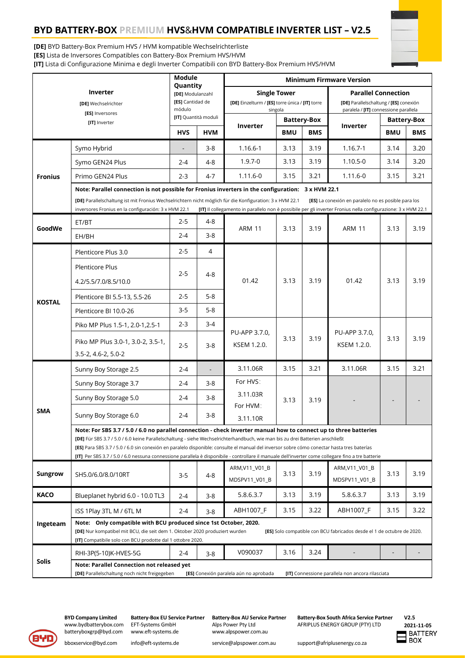# **BYD BATTERY-BOX PREMIUM HVS**&**HVM COMPATIBLE INVERTER LIST – V2.5**



**[DE]** BYD Battery-Box Premium HVS / HVM kompatible Wechselrichterliste **[ES]** Lista de Inversores Compatibles con Battery-Box Premium HVS/HVM **[IT]** Lista di Configurazione Minima e degli Inverter Compatibili con BYD Battery-Box Premium HVS/HVM

| Inverter<br>[DE] Wechselrichter<br>[ES] Inversores<br>[IT] Inverter |                                                                                                                                                                                                                                                                                                                                                                                                                                                                                                                                                        | Module<br>Quantity<br>[DE] Modulanzahl<br>[ES] Cantidad de<br>módulo<br>[IT] Quantità moduli |                | <b>Minimum Firmware Version</b>                                                   |                    |            |                                                                                                               |                    |            |
|---------------------------------------------------------------------|--------------------------------------------------------------------------------------------------------------------------------------------------------------------------------------------------------------------------------------------------------------------------------------------------------------------------------------------------------------------------------------------------------------------------------------------------------------------------------------------------------------------------------------------------------|----------------------------------------------------------------------------------------------|----------------|-----------------------------------------------------------------------------------|--------------------|------------|---------------------------------------------------------------------------------------------------------------|--------------------|------------|
|                                                                     |                                                                                                                                                                                                                                                                                                                                                                                                                                                                                                                                                        |                                                                                              |                | <b>Single Tower</b><br>[DE] Einzelturm / [ES] torre única / [IT] torre<br>singola |                    |            | <b>Parallel Connection</b><br>[DE] Parallelschaltung / [ES] conexión<br>paralela / [IT] connessione parallela |                    |            |
|                                                                     |                                                                                                                                                                                                                                                                                                                                                                                                                                                                                                                                                        |                                                                                              |                | Inverter                                                                          | <b>Battery-Box</b> |            | Inverter                                                                                                      | <b>Battery-Box</b> |            |
|                                                                     |                                                                                                                                                                                                                                                                                                                                                                                                                                                                                                                                                        | <b>HVS</b>                                                                                   | <b>HVM</b>     |                                                                                   | <b>BMU</b>         | <b>BMS</b> |                                                                                                               | <b>BMU</b>         | <b>BMS</b> |
| <b>Fronius</b>                                                      | Symo Hybrid                                                                                                                                                                                                                                                                                                                                                                                                                                                                                                                                            |                                                                                              | $3 - 8$        | 1.16.6-1                                                                          | 3.13               | 3.19       | $1.16.7 - 1$                                                                                                  | 3.14               | 3.20       |
|                                                                     | Symo GEN24 Plus                                                                                                                                                                                                                                                                                                                                                                                                                                                                                                                                        | $2 - 4$                                                                                      | $4 - 8$        | $1.9.7 - 0$                                                                       | 3.13               | 3.19       | $1.10.5 - 0$                                                                                                  | 3.14               | 3.20       |
|                                                                     | Primo GEN24 Plus                                                                                                                                                                                                                                                                                                                                                                                                                                                                                                                                       | $2 - 3$                                                                                      | $4 - 7$        | 1.11.6-0                                                                          | 3.15               | 3.21       | $1.11.6 - 0$                                                                                                  | 3.15               | 3.21       |
|                                                                     | Note: Parallel connection is not possible for Fronius inverters in the configuration: 3 x HVM 22.1<br>[DE] Parallelschaltung ist mit Fronius Wechselrichtern nicht möglich für die Konfiguration: 3 x HVM 22.1<br>[ES] La conexión en paralelo no es posible para los<br>inversores Fronius en la configuración: 3 x HVM 22.1<br>[IT] Il collegamento in parallelo non è possibile per gli inverter Fronius nella configurazione: 3 x HVM 22.1                                                                                                         |                                                                                              |                |                                                                                   |                    |            |                                                                                                               |                    |            |
| GoodWe                                                              | ET/BT                                                                                                                                                                                                                                                                                                                                                                                                                                                                                                                                                  | $2 - 5$                                                                                      | $4 - 8$        | <b>ARM 11</b>                                                                     | 3.13               | 3.19       | <b>ARM 11</b>                                                                                                 | 3.13               | 3.19       |
|                                                                     | EH/BH                                                                                                                                                                                                                                                                                                                                                                                                                                                                                                                                                  | $2 - 4$                                                                                      | $3 - 8$        |                                                                                   |                    |            |                                                                                                               |                    |            |
| <b>KOSTAL</b>                                                       | Plenticore Plus 3.0                                                                                                                                                                                                                                                                                                                                                                                                                                                                                                                                    | $2 - 5$                                                                                      | 4              | 01.42                                                                             | 3.13               | 3.19       | 01.42                                                                                                         | 3.13               | 3.19       |
|                                                                     | <b>Plenticore Plus</b>                                                                                                                                                                                                                                                                                                                                                                                                                                                                                                                                 | $2 - 5$                                                                                      | 4-8            |                                                                                   |                    |            |                                                                                                               |                    |            |
|                                                                     | 4.2/5.5/7.0/8.5/10.0                                                                                                                                                                                                                                                                                                                                                                                                                                                                                                                                   |                                                                                              |                |                                                                                   |                    |            |                                                                                                               |                    |            |
|                                                                     | Plenticore BI 5.5-13, 5.5-26                                                                                                                                                                                                                                                                                                                                                                                                                                                                                                                           | $2 - 5$                                                                                      | $5 - 8$        |                                                                                   |                    |            |                                                                                                               |                    |            |
|                                                                     | Plenticore BI 10.0-26                                                                                                                                                                                                                                                                                                                                                                                                                                                                                                                                  | $3 - 5$                                                                                      | $5 - 8$        |                                                                                   |                    |            |                                                                                                               |                    |            |
|                                                                     | Piko MP Plus 1.5-1, 2.0-1, 2.5-1                                                                                                                                                                                                                                                                                                                                                                                                                                                                                                                       | $2 - 3$                                                                                      | $3 - 4$        | PU-APP 3.7.0,<br>KSEM 1.2.0.                                                      | 3.13               | 3.19       | PU-APP 3.7.0,<br>KSEM 1.2.0.                                                                                  | 3.13               | 3.19       |
|                                                                     | Piko MP Plus 3.0-1, 3.0-2, 3.5-1,<br>3.5-2, 4.6-2, 5.0-2                                                                                                                                                                                                                                                                                                                                                                                                                                                                                               | $2 - 5$                                                                                      | $3 - 8$        |                                                                                   |                    |            |                                                                                                               |                    |            |
| <b>SMA</b>                                                          | Sunny Boy Storage 2.5                                                                                                                                                                                                                                                                                                                                                                                                                                                                                                                                  | $2 - 4$                                                                                      | $\overline{a}$ | 3.11.06R                                                                          | 3.15               | 3.21       | 3.11.06R                                                                                                      | 3.15               | 3.21       |
|                                                                     | Sunny Boy Storage 3.7                                                                                                                                                                                                                                                                                                                                                                                                                                                                                                                                  | $2 - 4$                                                                                      | 3-8            | For HVS:<br>3.11.03R<br>For HVM:<br>3.11.10R                                      | 3.13               | 3.19       |                                                                                                               |                    |            |
|                                                                     | Sunny Boy Storage 5.0                                                                                                                                                                                                                                                                                                                                                                                                                                                                                                                                  | $2 - 4$                                                                                      | $3 - 8$        |                                                                                   |                    |            |                                                                                                               |                    |            |
|                                                                     | Sunny Boy Storage 6.0                                                                                                                                                                                                                                                                                                                                                                                                                                                                                                                                  | $2 - 4$                                                                                      | $3 - 8$        |                                                                                   |                    |            |                                                                                                               |                    |            |
|                                                                     | Note: For SBS 3.7 / 5.0 / 6.0 no parallel connection - check inverter manual how to connect up to three batteries<br>[DE] Für SBS 3.7 / 5.0 / 6.0 keine Parallelschaltung - siehe Wechselrichterhandbuch, wie man bis zu drei Batterien anschließt<br>[ES] Para SBS 3.7 / 5.0 / 6.0 sin conexión en paralelo disponible: consulte el manual del inversor sobre cómo conectar hasta tres baterías<br>[IT] Per SBS 3.7 / 5.0 / 6.0 nessuna connessione parallela è disponibile - controllare il manuale dell'inverter come collegare fino a tre batterie |                                                                                              |                |                                                                                   |                    |            |                                                                                                               |                    |            |
| <b>Sungrow</b>                                                      | SH5.0/6.0/8.0/10RT                                                                                                                                                                                                                                                                                                                                                                                                                                                                                                                                     | $3 - 5$                                                                                      | 4-8            | ARM, V11_V01_B<br>MDSPV11_V01_B                                                   | 3.13               | 3.19       | ARM, V11_V01_B<br>MDSPV11_V01_B                                                                               | 3.13               | 3.19       |
| <b>KACO</b>                                                         | Blueplanet hybrid 6.0 - 10.0 TL3                                                                                                                                                                                                                                                                                                                                                                                                                                                                                                                       | $2 - 4$                                                                                      | $3 - 8$        | 5.8.6.3.7                                                                         | 3.13               | 3.19       | 5.8.6.3.7                                                                                                     | 3.13               | 3.19       |
| Ingeteam                                                            | ISS 1Play 3TL M / 6TL M                                                                                                                                                                                                                                                                                                                                                                                                                                                                                                                                | $2 - 4$                                                                                      | $3 - 8$        | ABH1007 F                                                                         | 3.15               | 3.22       | ABH1007_F                                                                                                     | 3.15               | 3.22       |
|                                                                     | Note: Only compatible with BCU produced since 1st October, 2020.<br>[DE] Nur kompatibel mit BCU, die seit dem 1. Oktober 2020 produziert wurden<br>[ES] Solo compatible con BCU fabricados desde el 1 de octubre de 2020.<br>[IT] Compatibile solo con BCU prodotte dal 1 ottobre 2020.                                                                                                                                                                                                                                                                |                                                                                              |                |                                                                                   |                    |            |                                                                                                               |                    |            |
| <b>Solis</b>                                                        | RHI-3P(5-10)K-HVES-5G                                                                                                                                                                                                                                                                                                                                                                                                                                                                                                                                  | $2 - 4$                                                                                      | $3 - 8$        | V090037                                                                           | 3.16               | 3.24       |                                                                                                               |                    |            |
|                                                                     | Note: Parallel Connection not released yet<br>[DE] Parallelschaltung noch nicht freigegeben<br>[ES] Conexión paralela aún no aprobada<br>[IT] Connessione parallela non ancora rilasciata                                                                                                                                                                                                                                                                                                                                                              |                                                                                              |                |                                                                                   |                    |            |                                                                                                               |                    |            |



batteryboxgrp@byd.com

EFT-Systems GmbH Alps Power Pty Ltd AFRIPLUS ENERGY GROUP (PTY) LTD<br>www.eft-systems.de www.alpspower.com.au

**BYD Company Limited Battery-Box EU Service Partner Battery-Box AU Service Partner Battery-Box South Africa Service Partner**

**V2.5 2021-11-05**

[bboxservice@byd.com](mailto:bboxservice@byd.com) [info@eft-systems.de](mailto:info@eft-systems.de) [service@alpspower.com.au](mailto:service@alpspower.com.au) support@afriplusenergy.co.za